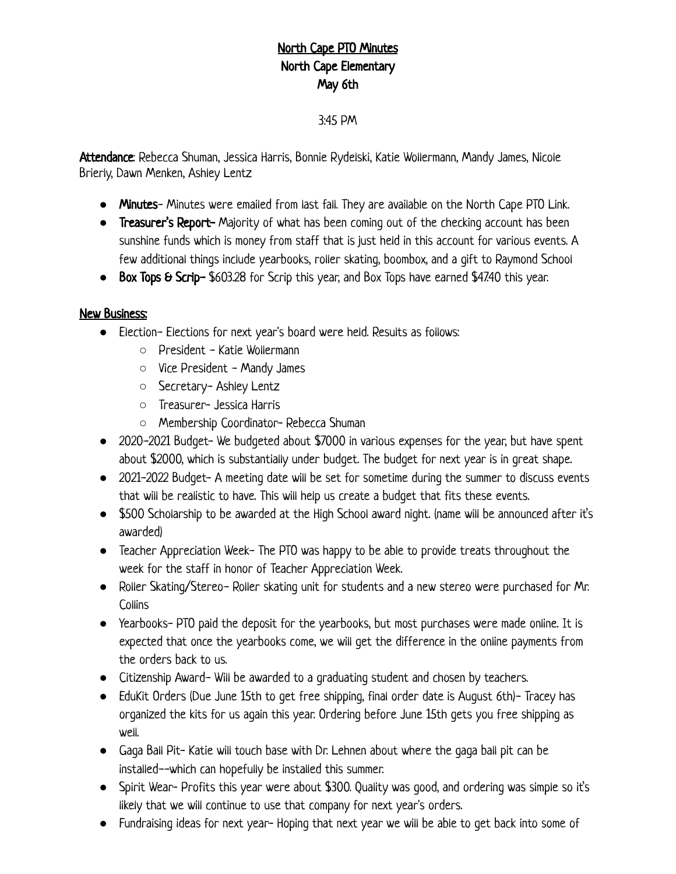## North Cape PTO Minutes North Cape Elementary May 6th

## 3:45 PM

Attendance: Rebecca Shuman, Jessica Harris, Bonnie Rydelski, Katie Wollermann, Mandy James, Nicole Brierly, Dawn Menken, Ashley Lentz

- **●** Minutes- Minutes were emailed from last fall. They are available on the North Cape PTO Link.
- **●** Treasurer's Report- Majority of what has been coming out of the checking account has been sunshine funds which is money from staff that is just held in this account for various events. A few additional things include yearbooks, roller skating, boombox, and a gift to Raymond School
- **●** Box Tops & Scrip- \$603.28 for Scrip this year, and Box Tops have earned \$47.40 this year.

## New Business:

- **●** Election- Elections for next year's board were held. Results as follows:
	- President Katie Wollermann
	- Vice President Mandy James
	- Secretary- Ashley Lentz
	- Treasurer- Jessica Harris
	- Membership Coordinator- Rebecca Shuman
- 2020-2021 Budget- We budgeted about \$7000 in various expenses for the year, but have spent about \$2000, which is substantially under budget. The budget for next year is in great shape.
- 2021-2022 Budget- A meeting date will be set for sometime during the summer to discuss events that will be realistic to have. This will help us create a budget that fits these events.
- \$500 Scholarship to be awarded at the High School award night. (name will be announced after it's awarded)
- Teacher Appreciation Week- The PTO was happy to be able to provide treats throughout the week for the staff in honor of Teacher Appreciation Week.
- Roller Skating/Stereo- Roller skating unit for students and a new stereo were purchased for Mr. **Collins**
- Yearbooks- PTO paid the deposit for the yearbooks, but most purchases were made online. It is expected that once the yearbooks come, we will get the difference in the online payments from the orders back to us.
- Citizenship Award- Will be awarded to a graduating student and chosen by teachers.
- EduKit Orders (Due June 15th to get free shipping, final order date is August 6th)– Tracey has organized the kits for us again this year. Ordering before June 15th gets you free shipping as well.
- Gaga Ball Pit- Katie will touch base with Dr. Lehnen about where the gaga ball pit can be installed--which can hopefully be installed this summer.
- Spirit Wear- Profits this year were about \$300. Quality was good, and ordering was simple so it's likely that we will continue to use that company for next year's orders.
- Fundraising ideas for next year- Hoping that next year we will be able to get back into some of